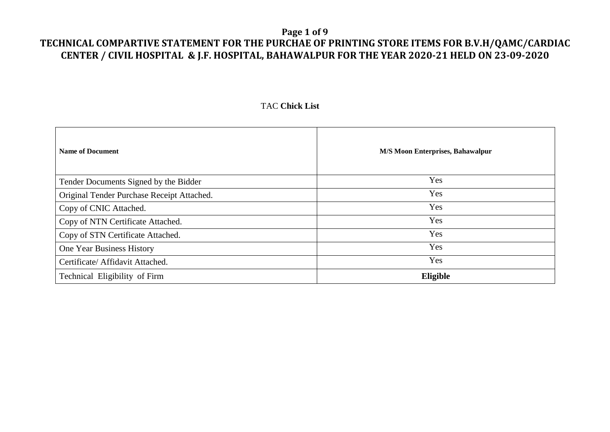#### **Page 1 of 9**

## **TECHNICAL COMPARTIVE STATEMENT FOR THE PURCHAE OF PRINTING STORE ITEMS FOR B.V.H/QAMC/CARDIAC CENTER / CIVIL HOSPITAL & J.F. HOSPITAL, BAHAWALPUR FOR THE YEAR 2020-21 HELD ON 23-09-2020**

#### TAC **Chick List**

| <b>Name of Document</b>                    | <b>M/S Moon Enterprises, Bahawalpur</b> |
|--------------------------------------------|-----------------------------------------|
| Tender Documents Signed by the Bidder      | Yes                                     |
| Original Tender Purchase Receipt Attached. | Yes                                     |
| Copy of CNIC Attached.                     | Yes                                     |
| Copy of NTN Certificate Attached.          | Yes                                     |
| Copy of STN Certificate Attached.          | Yes                                     |
| One Year Business History                  | Yes                                     |
| Certificate/ Affidavit Attached.           | Yes                                     |
| Technical Eligibility of Firm              | Eligible                                |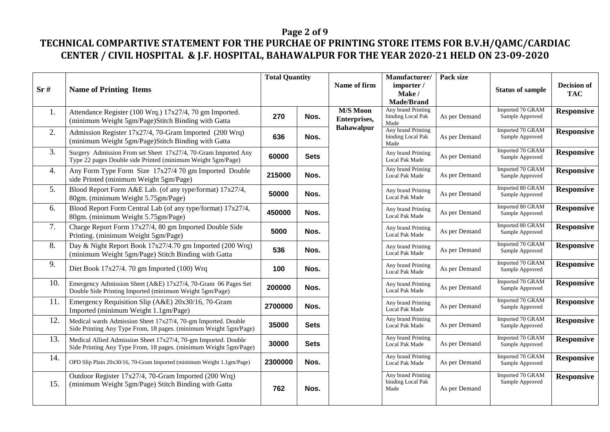## **Page 2 of 9**

|     |                                                                                                                                    | <b>Total Quantity</b> |             |                                 | Manufacturer/                                   | Pack size     |                                     |                           |
|-----|------------------------------------------------------------------------------------------------------------------------------------|-----------------------|-------------|---------------------------------|-------------------------------------------------|---------------|-------------------------------------|---------------------------|
| Sr# | <b>Name of Printing Items</b>                                                                                                      |                       |             | Name of firm                    | importer /<br>Make /<br><b>Made/Brand</b>       |               | <b>Status of sample</b>             | Decision of<br><b>TAC</b> |
| 1.  | Attendance Register (100 Wrq.) 17x27/4, 70 gm Imported.<br>(minimum Weight 5gm/Page)Stitch Binding with Gatta                      | 270                   | Nos.        | <b>M/S Moon</b><br>Enterprises, | Any brand Printing<br>binding Local Pak<br>Made | As per Demand | Imported 70 GRAM<br>Sample Approved | <b>Responsive</b>         |
| 2.  | Admission Register 17x27/4, 70-Gram Imported (200 Wrq)<br>(minimum Weight 5gm/Page)Stitch Binding with Gatta                       | 636                   | Nos.        | <b>Bahawalpur</b>               | Any brand Printing<br>binding Local Pak<br>Made | As per Demand | Imported 70 GRAM<br>Sample Approved | <b>Responsive</b>         |
| 3.  | Surgery Admission From set Sheet 17x27/4, 70-Gram Imported Any<br>Type 22 pages Double side Printed (minimum Weight 5gm/Page)      | 60000                 | <b>Sets</b> |                                 | Any brand Printing<br>Local Pak Made            | As per Demand | Imported 70 GRAM<br>Sample Approved | <b>Responsive</b>         |
| 4.  | Any Form Type Form Size 17x27/4 70 gm Imported Double<br>side Printed (minimum Weight 5gm/Page)                                    | 215000                | Nos.        |                                 | Any brand Printing<br>Local Pak Made            | As per Demand | Imported 70 GRAM<br>Sample Approved | <b>Responsive</b>         |
| 5.  | Blood Report Form A&E Lab. (of any type/format) 17x27/4,<br>80gm. (minimum Weight 5.75gm/Page)                                     | 50000                 | Nos.        |                                 | Any brand Printing<br>Local Pak Made            | As per Demand | Imported 80 GRAM<br>Sample Approved | <b>Responsive</b>         |
| 6.  | Blood Report Form Central Lab (of any type/format) 17x27/4,<br>80gm. (minimum Weight 5.75gm/Page)                                  | 450000                | Nos.        |                                 | Any brand Printing<br>Local Pak Made            | As per Demand | Imported 80 GRAM<br>Sample Approved | <b>Responsive</b>         |
| 7.  | Charge Report Form 17x27/4, 80 gm Imported Double Side<br>Printing. (minimum Weight 5gm/Page)                                      | 5000                  | Nos.        |                                 | Any brand Printing<br>Local Pak Made            | As per Demand | Imported 80 GRAM<br>Sample Approved | <b>Responsive</b>         |
| 8.  | Day & Night Report Book 17x27/4.70 gm Imported (200 Wrq)<br>(minimum Weight 5gm/Page) Stitch Binding with Gatta                    | 536                   | Nos.        |                                 | Any brand Printing<br><b>Local Pak Made</b>     | As per Demand | Imported 70 GRAM<br>Sample Approved | <b>Responsive</b>         |
| 9.  | Diet Book $17x27/4$ . 70 gm Imported (100) Wrq                                                                                     | 100                   | Nos.        |                                 | Any brand Printing<br>Local Pak Made            | As per Demand | Imported 70 GRAM<br>Sample Approved | <b>Responsive</b>         |
| 10. | Emergency Admission Sheet (A&E) 17x27/4, 70-Gram 06 Pages Set<br>Double Side Printing Imported (minimum Weight 5gm/Page)           | 200000                | Nos.        |                                 | Any brand Printing<br>Local Pak Made            | As per Demand | Imported 70 GRAM<br>Sample Approved | <b>Responsive</b>         |
| 11. | Emergency Requisition Slip (A&E) 20x30/16, 70-Gram<br>Imported (minimum Weight 1.1gm/Page)                                         | 2700000               | Nos.        |                                 | Any brand Printing<br>Local Pak Made            | As per Demand | Imported 70 GRAM<br>Sample Approved | <b>Responsive</b>         |
| 12. | Medical wards Admission Sheet 17x27/4, 70-gm Imported. Double<br>Side Printing Any Type From, 18 pages. (minimum Weight 5gm/Page)  | 35000                 | <b>Sets</b> |                                 | Any brand Printing<br>Local Pak Made            | As per Demand | Imported 70 GRAM<br>Sample Approved | <b>Responsive</b>         |
| 13. | Medical Allied Admission Sheet 17x27/4, 70-gm Imported. Double<br>Side Printing Any Type From, 18 pages. (minimum Weight 5gm/Page) | 30000                 | <b>Sets</b> |                                 | Any brand Printing<br>Local Pak Made            | As per Demand | Imported 70 GRAM<br>Sample Approved | <b>Responsive</b>         |
| 14. | OPD Slip Plain 20x30/16, 70-Gram Imported (minimum Weight 1.1gm/Page)                                                              | 2300000               | Nos.        |                                 | Any brand Printing<br>Local Pak Made            | As per Demand | Imported 70 GRAM<br>Sample Approved | <b>Responsive</b>         |
| 15. | Outdoor Register 17x27/4, 70-Gram Imported (200 Wrq)<br>(minimum Weight 5gm/Page) Stitch Binding with Gatta                        | 762                   | Nos.        |                                 | Any brand Printing<br>binding Local Pak<br>Made | As per Demand | Imported 70 GRAM<br>Sample Approved | <b>Responsive</b>         |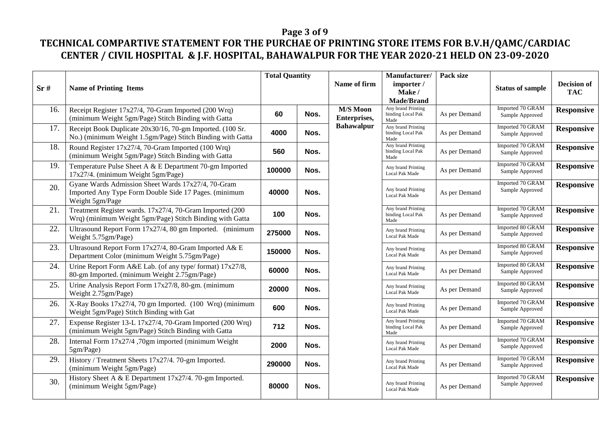## **Page 3 of 9**

| Sr# | <b>Name of Printing Items</b>                                                                                                  | <b>Total Quantity</b> |      |                                 |                                                 |               |                                     | Name of firm      | Manufacturer/<br>importer /<br>Make /<br><b>Made/Brand</b> | Pack size | <b>Status of sample</b> | <b>Decision of</b><br><b>TAC</b> |
|-----|--------------------------------------------------------------------------------------------------------------------------------|-----------------------|------|---------------------------------|-------------------------------------------------|---------------|-------------------------------------|-------------------|------------------------------------------------------------|-----------|-------------------------|----------------------------------|
| 16. | Receipt Register 17x27/4, 70-Gram Imported (200 Wrq)<br>(minimum Weight 5gm/Page) Stitch Binding with Gatta                    | 60                    | Nos. | <b>M/S Moon</b><br>Enterprises, | Any brand Printing<br>binding Local Pak<br>Made | As per Demand | Imported 70 GRAM<br>Sample Approved | <b>Responsive</b> |                                                            |           |                         |                                  |
| 17. | Receipt Book Duplicate 20x30/16, 70-gm Imported. (100 Sr.<br>No.) (minimum Weight 1.5gm/Page) Stitch Binding with Gatta        | 4000                  | Nos. | <b>Bahawalpur</b>               | Any brand Printing<br>binding Local Pak<br>Made | As per Demand | Imported 70 GRAM<br>Sample Approved | <b>Responsive</b> |                                                            |           |                         |                                  |
| 18. | Round Register 17x27/4, 70-Gram Imported (100 Wrq)<br>(minimum Weight 5gm/Page) Stitch Binding with Gatta                      | 560                   | Nos. |                                 | Any brand Printing<br>binding Local Pak<br>Made | As per Demand | Imported 70 GRAM<br>Sample Approved | <b>Responsive</b> |                                                            |           |                         |                                  |
| 19. | Temperature Pulse Sheet A & E Department 70-gm Imported<br>17x27/4. (minimum Weight 5gm/Page)                                  | 100000                | Nos. |                                 | Any brand Printing<br>Local Pak Made            | As per Demand | Imported 70 GRAM<br>Sample Approved | <b>Responsive</b> |                                                            |           |                         |                                  |
| 20. | Gyane Wards Admission Sheet Wards 17x27/4, 70-Gram<br>Imported Any Type Form Double Side 17 Pages. (minimum<br>Weight 5gm/Page | 40000                 | Nos. |                                 | Any brand Printing<br>Local Pak Made            | As per Demand | Imported 70 GRAM<br>Sample Approved | <b>Responsive</b> |                                                            |           |                         |                                  |
| 21. | Treatment Register wards. 17x27/4, 70-Gram Imported (200<br>Wrq) (minimum Weight 5gm/Page) Stitch Binding with Gatta           | 100                   | Nos. |                                 | Any brand Printing<br>binding Local Pak<br>Made | As per Demand | Imported 70 GRAM<br>Sample Approved | <b>Responsive</b> |                                                            |           |                         |                                  |
| 22. | Ultrasound Report Form 17x27/4, 80 gm Imported. (minimum<br>Weight 5.75gm/Page)                                                | 275000                | Nos. |                                 | Any brand Printing<br>Local Pak Made            | As per Demand | Imported 80 GRAM<br>Sample Approved | <b>Responsive</b> |                                                            |           |                         |                                  |
| 23. | Ultrasound Report Form 17x27/4, 80-Gram Imported A& E<br>Department Color (minimum Weight 5.75gm/Page)                         | 150000                | Nos. |                                 | Any brand Printing<br><b>Local Pak Made</b>     | As per Demand | Imported 80 GRAM<br>Sample Approved | <b>Responsive</b> |                                                            |           |                         |                                  |
| 24. | Urine Report Form A&E Lab. (of any type/format) 17x27/8,<br>80-gm Imported. (minimum Weight 2.75gm/Page)                       | 60000                 | Nos. |                                 | Any brand Printing<br><b>Local Pak Made</b>     | As per Demand | Imported 80 GRAM<br>Sample Approved | <b>Responsive</b> |                                                            |           |                         |                                  |
| 25. | Urine Analysis Report Form 17x27/8, 80-gm. (minimum<br>Weight 2.75gm/Page)                                                     | 20000                 | Nos. |                                 | Any brand Printing<br><b>Local Pak Made</b>     | As per Demand | Imported 80 GRAM<br>Sample Approved | <b>Responsive</b> |                                                            |           |                         |                                  |
| 26. | X-Ray Books 17x27/4, 70 gm Imported. (100 Wrq) (minimum<br>Weight 5gm/Page) Stitch Binding with Gat                            | 600                   | Nos. |                                 | Any brand Printing<br><b>Local Pak Made</b>     | As per Demand | Imported 70 GRAM<br>Sample Approved | <b>Responsive</b> |                                                            |           |                         |                                  |
| 27. | Expense Register 13-L 17x27/4, 70-Gram Imported (200 Wrq)<br>(minimum Weight 5gm/Page) Stitch Binding with Gatta               | 712                   | Nos. |                                 | Any brand Printing<br>binding Local Pak<br>Made | As per Demand | Imported 70 GRAM<br>Sample Approved | <b>Responsive</b> |                                                            |           |                         |                                  |
| 28. | Internal Form 17x27/4,70gm imported (minimum Weight<br>5gm/Page)                                                               | 2000                  | Nos. |                                 | Any brand Printing<br>Local Pak Made            | As per Demand | Imported 70 GRAM<br>Sample Approved | <b>Responsive</b> |                                                            |           |                         |                                  |
| 29. | History / Treatment Sheets 17x27/4. 70-gm Imported.<br>(minimum Weight 5gm/Page)                                               | 290000                | Nos. |                                 | Any brand Printing<br>Local Pak Made            | As per Demand | Imported 70 GRAM<br>Sample Approved | <b>Responsive</b> |                                                            |           |                         |                                  |
| 30. | History Sheet A & E Department 17x27/4. 70-gm Imported.<br>(minimum Weight 5gm/Page)                                           | 80000                 | Nos. |                                 | Any brand Printing<br><b>Local Pak Made</b>     | As per Demand | Imported 70 GRAM<br>Sample Approved | <b>Responsive</b> |                                                            |           |                         |                                  |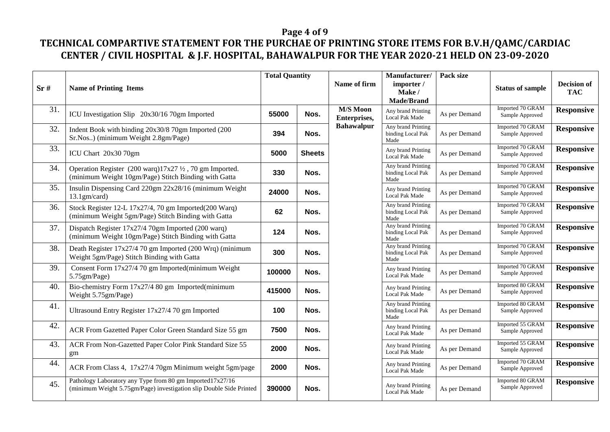## **Page 4 of 9**

| Sr# | <b>Name of Printing Items</b>                                                                                                      | <b>Total Quantity</b> |               |                                 |                                                 |               |                                     | Name of firm      | Manufacturer/<br>importer /<br>Make/ | Pack size | <b>Status of sample</b> | <b>Decision of</b><br><b>TAC</b> |
|-----|------------------------------------------------------------------------------------------------------------------------------------|-----------------------|---------------|---------------------------------|-------------------------------------------------|---------------|-------------------------------------|-------------------|--------------------------------------|-----------|-------------------------|----------------------------------|
|     |                                                                                                                                    |                       |               |                                 | Made/Brand                                      |               |                                     |                   |                                      |           |                         |                                  |
| 31. | ICU Investigation Slip 20x30/16 70gm Imported                                                                                      | 55000                 | Nos.          | <b>M/S Moon</b><br>Enterprises, | Any brand Printing<br>Local Pak Made            | As per Demand | Imported 70 GRAM<br>Sample Approved | <b>Responsive</b> |                                      |           |                         |                                  |
| 32. | Indent Book with binding 20x30/8 70gm Imported (200<br>Sr.Nos) (minimum Weight 2.8gm/Page)                                         | 394                   | Nos.          | <b>Bahawalpur</b>               | Any brand Printing<br>binding Local Pak<br>Made | As per Demand | Imported 70 GRAM<br>Sample Approved | <b>Responsive</b> |                                      |           |                         |                                  |
| 33. | ICU Chart 20x30 70gm                                                                                                               | 5000                  | <b>Sheets</b> |                                 | Any brand Printing<br><b>Local Pak Made</b>     | As per Demand | Imported 70 GRAM<br>Sample Approved | <b>Responsive</b> |                                      |           |                         |                                  |
| 34. | Operation Register $(200 \text{ warq})17x27 \frac{1}{2}$ , 70 gm Imported.<br>(minimum Weight 10gm/Page) Stitch Binding with Gatta | 330                   | Nos.          |                                 | Any brand Printing<br>binding Local Pak<br>Made | As per Demand | Imported 70 GRAM<br>Sample Approved | <b>Responsive</b> |                                      |           |                         |                                  |
| 35. | Insulin Dispensing Card 220gm 22x28/16 (minimum Weight<br>$13.1$ gm/card)                                                          | 24000                 | Nos.          |                                 | Any brand Printing<br><b>Local Pak Made</b>     | As per Demand | Imported 70 GRAM<br>Sample Approved | <b>Responsive</b> |                                      |           |                         |                                  |
| 36. | Stock Register 12-L 17x27/4, 70 gm Imported(200 Warq)<br>(minimum Weight 5gm/Page) Stitch Binding with Gatta                       | 62                    | Nos.          |                                 | Any brand Printing<br>binding Local Pak<br>Made | As per Demand | Imported 70 GRAM<br>Sample Approved | <b>Responsive</b> |                                      |           |                         |                                  |
| 37. | Dispatch Register 17x27/4 70gm Imported (200 warq)<br>(minimum Weight 10gm/Page) Stitch Binding with Gatta                         | 124                   | Nos.          |                                 | Any brand Printing<br>binding Local Pak<br>Made | As per Demand | Imported 70 GRAM<br>Sample Approved | <b>Responsive</b> |                                      |           |                         |                                  |
| 38. | Death Register 17x27/4 70 gm Imported (200 Wrq) (minimum<br>Weight 5gm/Page) Stitch Binding with Gatta                             | 300                   | Nos.          |                                 | Any brand Printing<br>binding Local Pak<br>Made | As per Demand | Imported 70 GRAM<br>Sample Approved | <b>Responsive</b> |                                      |           |                         |                                  |
| 39. | Consent Form 17x27/4 70 gm Imported(minimum Weight<br>5.75gm/Page)                                                                 | 100000                | Nos.          |                                 | Any brand Printing<br><b>Local Pak Made</b>     | As per Demand | Imported 70 GRAM<br>Sample Approved | <b>Responsive</b> |                                      |           |                         |                                  |
| 40. | Bio-chemistry Form $17x27/480$ gm Imported(minimum<br>Weight 5.75gm/Page)                                                          | 415000                | Nos.          |                                 | Any brand Printing<br>Local Pak Made            | As per Demand | Imported 80 GRAM<br>Sample Approved | <b>Responsive</b> |                                      |           |                         |                                  |
| 41. | Ultrasound Entry Register 17x27/4 70 gm Imported                                                                                   | 100                   | Nos.          |                                 | Any brand Printing<br>binding Local Pak<br>Made | As per Demand | Imported 80 GRAM<br>Sample Approved | <b>Responsive</b> |                                      |           |                         |                                  |
| 42. | ACR From Gazetted Paper Color Green Standard Size 55 gm                                                                            | 7500                  | Nos.          |                                 | Any brand Printing<br>Local Pak Made            | As per Demand | Imported 55 GRAM<br>Sample Approved | <b>Responsive</b> |                                      |           |                         |                                  |
| 43. | ACR From Non-Gazetted Paper Color Pink Standard Size 55<br>gm                                                                      | 2000                  | Nos.          |                                 | Any brand Printing<br><b>Local Pak Made</b>     | As per Demand | Imported 55 GRAM<br>Sample Approved | <b>Responsive</b> |                                      |           |                         |                                  |
| 44. | ACR From Class 4, 17x27/4 70gm Minimum weight 5gm/page                                                                             | 2000                  | Nos.          |                                 | Any brand Printing<br>Local Pak Made            | As per Demand | Imported 70 GRAM<br>Sample Approved | <b>Responsive</b> |                                      |           |                         |                                  |
| 45. | Pathology Laboratory any Type from 80 gm Imported17x27/16<br>(minimum Weight 5.75gm/Page) investigation slip Double Side Printed   | 390000                | Nos.          |                                 | Any brand Printing<br>Local Pak Made            | As per Demand | Imported 80 GRAM<br>Sample Approved | <b>Responsive</b> |                                      |           |                         |                                  |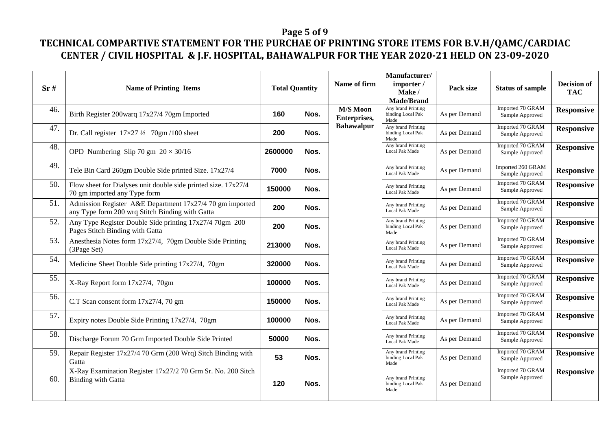## **Page 5 of 9**

| Sr# | <b>Name of Printing Items</b>                                                                               | <b>Total Quantity</b> |      |                                 |                                                 | Name of firm  | Manufacturer/<br>importer /<br>Make/<br><b>Made/Brand</b> | Pack size         | <b>Status of sample</b> | <b>Decision of</b><br><b>TAC</b> |
|-----|-------------------------------------------------------------------------------------------------------------|-----------------------|------|---------------------------------|-------------------------------------------------|---------------|-----------------------------------------------------------|-------------------|-------------------------|----------------------------------|
| 46. | Birth Register 200warq 17x27/4 70gm Imported                                                                | 160                   | Nos. | <b>M/S Moon</b><br>Enterprises, | Any brand Printing<br>binding Local Pak<br>Made | As per Demand | Imported 70 GRAM<br>Sample Approved                       | <b>Responsive</b> |                         |                                  |
| 47. | Dr. Call register $17\times27\frac{1}{2}$ 70gm/100 sheet                                                    | 200                   | Nos. | <b>Bahawalpur</b>               | Any brand Printing<br>binding Local Pak<br>Made | As per Demand | Imported 70 GRAM<br>Sample Approved                       | <b>Responsive</b> |                         |                                  |
| 48. | OPD Numbering Slip 70 gm $20 \times 30/16$                                                                  | 2600000               | Nos. |                                 | Any brand Printing<br>Local Pak Made            | As per Demand | Imported 70 GRAM<br>Sample Approved                       | <b>Responsive</b> |                         |                                  |
| 49. | Tele Bin Card 260gm Double Side printed Size. 17x27/4                                                       | 7000                  | Nos. |                                 | Any brand Printing<br><b>Local Pak Made</b>     | As per Demand | Imported 260 GRAM<br>Sample Approved                      | <b>Responsive</b> |                         |                                  |
| 50. | Flow sheet for Dialyses unit double side printed size. $17x27/4$<br>70 gm imported any Type form            | 150000                | Nos. |                                 | Any brand Printing<br>Local Pak Made            | As per Demand | Imported 70 GRAM<br>Sample Approved                       | <b>Responsive</b> |                         |                                  |
| 51. | Admission Register A&E Department 17x27/4 70 gm imported<br>any Type form 200 wrq Stitch Binding with Gatta | 200                   | Nos. |                                 | Any brand Printing<br><b>Local Pak Made</b>     | As per Demand | Imported 70 GRAM<br>Sample Approved                       | <b>Responsive</b> |                         |                                  |
| 52. | Any Type Register Double Side printing 17x27/4 70gm 200<br>Pages Stitch Binding with Gatta                  | 200                   | Nos. |                                 | Any brand Printing<br>binding Local Pak<br>Made | As per Demand | Imported 70 GRAM<br>Sample Approved                       | <b>Responsive</b> |                         |                                  |
| 53. | Anesthesia Notes form 17x27/4, 70gm Double Side Printing<br>(3Page Set)                                     | 213000                | Nos. |                                 | Any brand Printing<br><b>Local Pak Made</b>     | As per Demand | Imported 70 GRAM<br>Sample Approved                       | <b>Responsive</b> |                         |                                  |
| 54. | Medicine Sheet Double Side printing 17x27/4, 70gm                                                           | 320000                | Nos. |                                 | Any brand Printing<br><b>Local Pak Made</b>     | As per Demand | Imported 70 GRAM<br>Sample Approved                       | <b>Responsive</b> |                         |                                  |
| 55. | X-Ray Report form 17x27/4, 70gm                                                                             | 100000                | Nos. |                                 | Any brand Printing<br><b>Local Pak Made</b>     | As per Demand | Imported 70 GRAM<br>Sample Approved                       | <b>Responsive</b> |                         |                                  |
| 56. | C.T Scan consent form 17x27/4, 70 gm                                                                        | 150000                | Nos. |                                 | Any brand Printing<br>Local Pak Made            | As per Demand | Imported 70 GRAM<br>Sample Approved                       | <b>Responsive</b> |                         |                                  |
| 57. | Expiry notes Double Side Printing 17x27/4, 70gm                                                             | 100000                | Nos. |                                 | Any brand Printing<br>Local Pak Made            | As per Demand | Imported 70 GRAM<br>Sample Approved                       | <b>Responsive</b> |                         |                                  |
| 58. | Discharge Forum 70 Grm Imported Double Side Printed                                                         | 50000                 | Nos. |                                 | Any brand Printing<br>Local Pak Made            | As per Demand | Imported 70 GRAM<br>Sample Approved                       | <b>Responsive</b> |                         |                                  |
| 59. | Repair Register 17x27/4 70 Grm (200 Wrq) Sitch Binding with<br>Gatta                                        | 53                    | Nos. |                                 | Any brand Printing<br>binding Local Pak<br>Made | As per Demand | Imported 70 GRAM<br>Sample Approved                       | <b>Responsive</b> |                         |                                  |
| 60. | X-Ray Examination Register 17x27/2 70 Grm Sr. No. 200 Sitch<br><b>Binding with Gatta</b>                    | 120                   | Nos. |                                 | Any brand Printing<br>binding Local Pak<br>Made | As per Demand | Imported 70 GRAM<br>Sample Approved                       | <b>Responsive</b> |                         |                                  |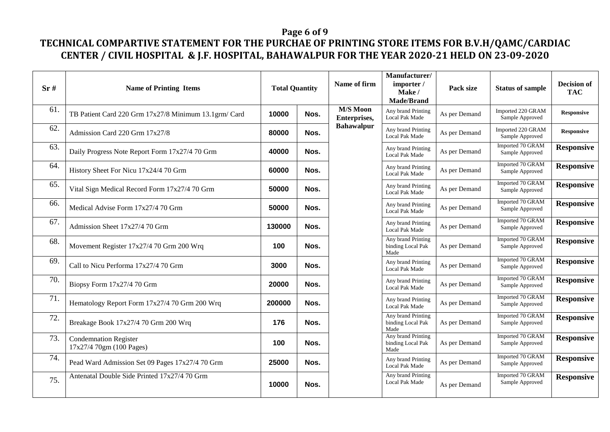## **Page 6 of 9**

| Sr# | <b>Name of Printing Items</b>                            | <b>Total Quantity</b> |      |                                 |                                                 |               |                                      | Name of firm      | Manufacturer/<br>importer /<br>Make /<br><b>Made/Brand</b> | Pack size | <b>Status of sample</b> | <b>Decision of</b><br><b>TAC</b> |
|-----|----------------------------------------------------------|-----------------------|------|---------------------------------|-------------------------------------------------|---------------|--------------------------------------|-------------------|------------------------------------------------------------|-----------|-------------------------|----------------------------------|
| 61. | TB Patient Card 220 Grm 17x27/8 Minimum 13.1grm/ Card    | 10000                 | Nos. | <b>M/S Moon</b><br>Enterprises, | Any brand Printing<br><b>Local Pak Made</b>     | As per Demand | Imported 220 GRAM<br>Sample Approved | <b>Responsive</b> |                                                            |           |                         |                                  |
| 62. | Admission Card 220 Grm 17x27/8                           | 80000                 | Nos. | <b>Bahawalpur</b>               | Any brand Printing<br>Local Pak Made            | As per Demand | Imported 220 GRAM<br>Sample Approved | <b>Responsive</b> |                                                            |           |                         |                                  |
| 63. | Daily Progress Note Report Form 17x27/4 70 Grm           | 40000                 | Nos. |                                 | Any brand Printing<br>Local Pak Made            | As per Demand | Imported 70 GRAM<br>Sample Approved  | <b>Responsive</b> |                                                            |           |                         |                                  |
| 64. | History Sheet For Nicu 17x24/4 70 Grm                    | 60000                 | Nos. |                                 | Any brand Printing<br><b>Local Pak Made</b>     | As per Demand | Imported 70 GRAM<br>Sample Approved  | <b>Responsive</b> |                                                            |           |                         |                                  |
| 65. | Vital Sign Medical Record Form 17x27/4 70 Grm            | 50000                 | Nos. |                                 | Any brand Printing<br>Local Pak Made            | As per Demand | Imported 70 GRAM<br>Sample Approved  | <b>Responsive</b> |                                                            |           |                         |                                  |
| 66. | Medical Advise Form 17x27/4 70 Grm                       | 50000                 | Nos. |                                 | Any brand Printing<br><b>Local Pak Made</b>     | As per Demand | Imported 70 GRAM<br>Sample Approved  | <b>Responsive</b> |                                                            |           |                         |                                  |
| 67. | Admission Sheet 17x27/4 70 Grm                           | 130000                | Nos. |                                 | Any brand Printing<br>Local Pak Made            | As per Demand | Imported 70 GRAM<br>Sample Approved  | <b>Responsive</b> |                                                            |           |                         |                                  |
| 68. | Movement Register 17x27/4 70 Grm 200 Wrq                 | 100                   | Nos. |                                 | Any brand Printing<br>binding Local Pak<br>Made | As per Demand | Imported 70 GRAM<br>Sample Approved  | <b>Responsive</b> |                                                            |           |                         |                                  |
| 69. | Call to Nicu Performa 17x27/4 70 Grm                     | 3000                  | Nos. |                                 | Any brand Printing<br><b>Local Pak Made</b>     | As per Demand | Imported 70 GRAM<br>Sample Approved  | <b>Responsive</b> |                                                            |           |                         |                                  |
| 70. | Biopsy Form 17x27/4 70 Grm                               | 20000                 | Nos. |                                 | Any brand Printing<br>Local Pak Made            | As per Demand | Imported 70 GRAM<br>Sample Approved  | <b>Responsive</b> |                                                            |           |                         |                                  |
| 71. | Hematology Report Form 17x27/4 70 Grm 200 Wrq            | 200000                | Nos. |                                 | Any brand Printing<br>Local Pak Made            | As per Demand | Imported 70 GRAM<br>Sample Approved  | <b>Responsive</b> |                                                            |           |                         |                                  |
| 72. | Breakage Book 17x27/4 70 Grm 200 Wrq                     | 176                   | Nos. |                                 | Any brand Printing<br>binding Local Pak<br>Made | As per Demand | Imported 70 GRAM<br>Sample Approved  | <b>Responsive</b> |                                                            |           |                         |                                  |
| 73. | <b>Condemnation Register</b><br>17x27/4 70gm (100 Pages) | 100                   | Nos. |                                 | Any brand Printing<br>binding Local Pak<br>Made | As per Demand | Imported 70 GRAM<br>Sample Approved  | <b>Responsive</b> |                                                            |           |                         |                                  |
| 74. | Pead Ward Admission Set 09 Pages 17x27/4 70 Grm          | 25000                 | Nos. |                                 | Any brand Printing<br>Local Pak Made            | As per Demand | Imported 70 GRAM<br>Sample Approved  | <b>Responsive</b> |                                                            |           |                         |                                  |
| 75. | Antenatal Double Side Printed 17x27/4 70 Grm             | 10000                 | Nos. |                                 | Any brand Printing<br>Local Pak Made            | As per Demand | Imported 70 GRAM<br>Sample Approved  | <b>Responsive</b> |                                                            |           |                         |                                  |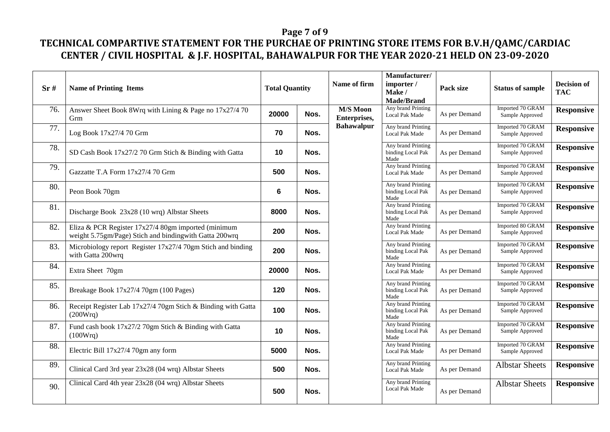## **Page 7 of 9**

| Sr# | <b>Name of Printing Items</b>                                                                                   | <b>Total Quantity</b> |      |                                 |                                                 | Name of firm  | Manufacturer/<br>importer /<br>Make/<br><b>Made/Brand</b> | Pack size         | <b>Status of sample</b> | <b>Decision of</b><br><b>TAC</b> |
|-----|-----------------------------------------------------------------------------------------------------------------|-----------------------|------|---------------------------------|-------------------------------------------------|---------------|-----------------------------------------------------------|-------------------|-------------------------|----------------------------------|
| 76. | Answer Sheet Book 8Wrq with Lining & Page no 17x27/4 70<br>Grm                                                  | 20000                 | Nos. | <b>M/S Moon</b><br>Enterprises, | Any brand Printing<br>Local Pak Made            | As per Demand | Imported 70 GRAM<br>Sample Approved                       | <b>Responsive</b> |                         |                                  |
| 77. | Log Book 17x27/4 70 Grm                                                                                         | 70                    | Nos. | <b>Bahawalpur</b>               | Any brand Printing<br>Local Pak Made            | As per Demand | Imported 70 GRAM<br>Sample Approved                       | <b>Responsive</b> |                         |                                  |
| 78. | SD Cash Book 17x27/2 70 Grm Stich & Binding with Gatta                                                          | 10                    | Nos. |                                 | Any brand Printing<br>binding Local Pak<br>Made | As per Demand | Imported 70 GRAM<br>Sample Approved                       | <b>Responsive</b> |                         |                                  |
| 79. | Gazzatte T.A Form 17x27/4 70 Grm                                                                                | 500                   | Nos. |                                 | Any brand Printing<br>Local Pak Made            | As per Demand | Imported 70 GRAM<br>Sample Approved                       | <b>Responsive</b> |                         |                                  |
| 80. | Peon Book 70gm                                                                                                  | 6                     | Nos. |                                 | Any brand Printing<br>binding Local Pak<br>Made | As per Demand | Imported 70 GRAM<br>Sample Approved                       | <b>Responsive</b> |                         |                                  |
| 81. | Discharge Book 23x28 (10 wrq) Albstar Sheets                                                                    | 8000                  | Nos. |                                 | Any brand Printing<br>binding Local Pak<br>Made | As per Demand | Imported 70 GRAM<br>Sample Approved                       | <b>Responsive</b> |                         |                                  |
| 82. | Eliza & PCR Register $17x27/4$ 80gm imported (minimum<br>weight 5.75gm/Page) Stich and bindingwith Gatta 200wrq | 200                   | Nos. |                                 | Any brand Printing<br>Local Pak Made            | As per Demand | Imported 80 GRAM<br>Sample Approved                       | <b>Responsive</b> |                         |                                  |
| 83. | Microbiology report Register 17x27/4 70gm Stich and binding<br>with Gatta 200wrq                                | 200                   | Nos. |                                 | Any brand Printing<br>binding Local Pak<br>Made | As per Demand | Imported 70 GRAM<br>Sample Approved                       | <b>Responsive</b> |                         |                                  |
| 84. | Extra Sheet 70gm                                                                                                | 20000                 | Nos. |                                 | Any brand Printing<br>Local Pak Made            | As per Demand | Imported 70 GRAM<br>Sample Approved                       | <b>Responsive</b> |                         |                                  |
| 85. | Breakage Book 17x27/4 70gm (100 Pages)                                                                          | 120                   | Nos. |                                 | Any brand Printing<br>binding Local Pak<br>Made | As per Demand | Imported 70 GRAM<br>Sample Approved                       | <b>Responsive</b> |                         |                                  |
| 86. | Receipt Register Lab 17x27/4 70gm Stich & Binding with Gatta<br>(200Wrq)                                        | 100                   | Nos. |                                 | Any brand Printing<br>binding Local Pak<br>Made | As per Demand | Imported 70 GRAM<br>Sample Approved                       | <b>Responsive</b> |                         |                                  |
| 87. | Fund cash book 17x27/2 70gm Stich & Binding with Gatta<br>(100Wrq)                                              | 10                    | Nos. |                                 | Any brand Printing<br>binding Local Pak<br>Made | As per Demand | Imported 70 GRAM<br>Sample Approved                       | <b>Responsive</b> |                         |                                  |
| 88. | Electric Bill 17x27/4 70gm any form                                                                             | 5000                  | Nos. |                                 | Any brand Printing<br><b>Local Pak Made</b>     | As per Demand | Imported 70 GRAM<br>Sample Approved                       | <b>Responsive</b> |                         |                                  |
| 89. | Clinical Card 3rd year 23x28 (04 wrq) Albstar Sheets                                                            | 500                   | Nos. |                                 | Any brand Printing<br>Local Pak Made            | As per Demand | <b>Albstar Sheets</b>                                     | <b>Responsive</b> |                         |                                  |
| 90. | Clinical Card 4th year 23x28 (04 wrq) Albstar Sheets                                                            | 500                   | Nos. |                                 | Any brand Printing<br><b>Local Pak Made</b>     | As per Demand | <b>Albstar Sheets</b>                                     | <b>Responsive</b> |                         |                                  |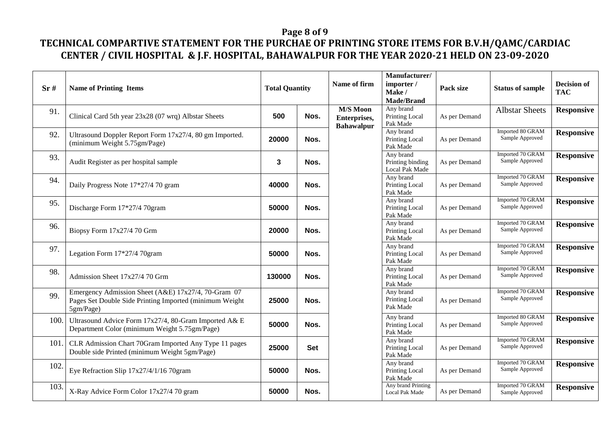## **Page 8 of 9**

| Sr#  | <b>Name of Printing Items</b>                                                                                                | <b>Total Quantity</b> |            |                                                      |                                                 |               |                                     |                   |  |  |  |  |  | Name of firm | Manufacturer/<br>importer /<br>Make/<br><b>Made/Brand</b> | Pack size | <b>Status of sample</b> | <b>Decision of</b><br><b>TAC</b> |
|------|------------------------------------------------------------------------------------------------------------------------------|-----------------------|------------|------------------------------------------------------|-------------------------------------------------|---------------|-------------------------------------|-------------------|--|--|--|--|--|--------------|-----------------------------------------------------------|-----------|-------------------------|----------------------------------|
| 91.  | Clinical Card 5th year 23x28 (07 wrq) Albstar Sheets                                                                         | 500                   | Nos.       | <b>M/S Moon</b><br>Enterprises,<br><b>Bahawalpur</b> | Any brand<br>Printing Local<br>Pak Made         | As per Demand | <b>Albstar Sheets</b>               | <b>Responsive</b> |  |  |  |  |  |              |                                                           |           |                         |                                  |
| 92.  | Ultrasound Doppler Report Form 17x27/4, 80 gm Imported.<br>(minimum Weight 5.75gm/Page)                                      | 20000                 | Nos.       |                                                      | Any brand<br>Printing Local<br>Pak Made         | As per Demand | Imported 80 GRAM<br>Sample Approved | <b>Responsive</b> |  |  |  |  |  |              |                                                           |           |                         |                                  |
| 93.  | Audit Register as per hospital sample                                                                                        | 3                     | Nos.       |                                                      | Any brand<br>Printing binding<br>Local Pak Made | As per Demand | Imported 70 GRAM<br>Sample Approved | <b>Responsive</b> |  |  |  |  |  |              |                                                           |           |                         |                                  |
| 94.  | Daily Progress Note 17*27/4 70 gram                                                                                          | 40000                 | Nos.       |                                                      | Any brand<br>Printing Local<br>Pak Made         | As per Demand | Imported 70 GRAM<br>Sample Approved | <b>Responsive</b> |  |  |  |  |  |              |                                                           |           |                         |                                  |
| 95.  | Discharge Form 17*27/4 70gram                                                                                                | 50000                 | Nos.       |                                                      | Any brand<br>Printing Local<br>Pak Made         | As per Demand | Imported 70 GRAM<br>Sample Approved | <b>Responsive</b> |  |  |  |  |  |              |                                                           |           |                         |                                  |
| 96.  | Biopsy Form 17x27/4 70 Grm                                                                                                   | 20000                 | Nos.       |                                                      | Any brand<br>Printing Local<br>Pak Made         | As per Demand | Imported 70 GRAM<br>Sample Approved | <b>Responsive</b> |  |  |  |  |  |              |                                                           |           |                         |                                  |
| 97.  | Legation Form 17*27/4 70gram                                                                                                 | 50000                 | Nos.       |                                                      | Any brand<br>Printing Local<br>Pak Made         | As per Demand | Imported 70 GRAM<br>Sample Approved | <b>Responsive</b> |  |  |  |  |  |              |                                                           |           |                         |                                  |
| 98.  | Admission Sheet 17x27/4 70 Grm                                                                                               | 130000                | Nos.       |                                                      | Any brand<br>Printing Local<br>Pak Made         | As per Demand | Imported 70 GRAM<br>Sample Approved | <b>Responsive</b> |  |  |  |  |  |              |                                                           |           |                         |                                  |
| 99.  | Emergency Admission Sheet (A&E) 17x27/4, 70-Gram 07<br>Pages Set Double Side Printing Imported (minimum Weight)<br>5gm/Page) | 25000                 | Nos.       |                                                      | Any brand<br><b>Printing Local</b><br>Pak Made  | As per Demand | Imported 70 GRAM<br>Sample Approved | <b>Responsive</b> |  |  |  |  |  |              |                                                           |           |                         |                                  |
| 100. | Ultrasound Advice Form 17x27/4, 80-Gram Imported A& E<br>Department Color (minimum Weight 5.75gm/Page)                       | 50000                 | Nos.       |                                                      | Any brand<br>Printing Local<br>Pak Made         | As per Demand | Imported 80 GRAM<br>Sample Approved | <b>Responsive</b> |  |  |  |  |  |              |                                                           |           |                         |                                  |
| 101. | CLR Admission Chart 70Gram Imported Any Type 11 pages<br>Double side Printed (minimum Weight 5gm/Page)                       | 25000                 | <b>Set</b> |                                                      | Any brand<br>Printing Local<br>Pak Made         | As per Demand | Imported 70 GRAM<br>Sample Approved | <b>Responsive</b> |  |  |  |  |  |              |                                                           |           |                         |                                  |
| 102. | Eye Refraction Slip 17x27/4/1/16 70gram                                                                                      | 50000                 | Nos.       |                                                      | Any brand<br>Printing Local<br>Pak Made         | As per Demand | Imported 70 GRAM<br>Sample Approved | <b>Responsive</b> |  |  |  |  |  |              |                                                           |           |                         |                                  |
| 103. | X-Ray Advice Form Color 17x27/4 70 gram                                                                                      | 50000                 | Nos.       |                                                      | Any brand Printing<br>Local Pak Made            | As per Demand | Imported 70 GRAM<br>Sample Approved | <b>Responsive</b> |  |  |  |  |  |              |                                                           |           |                         |                                  |